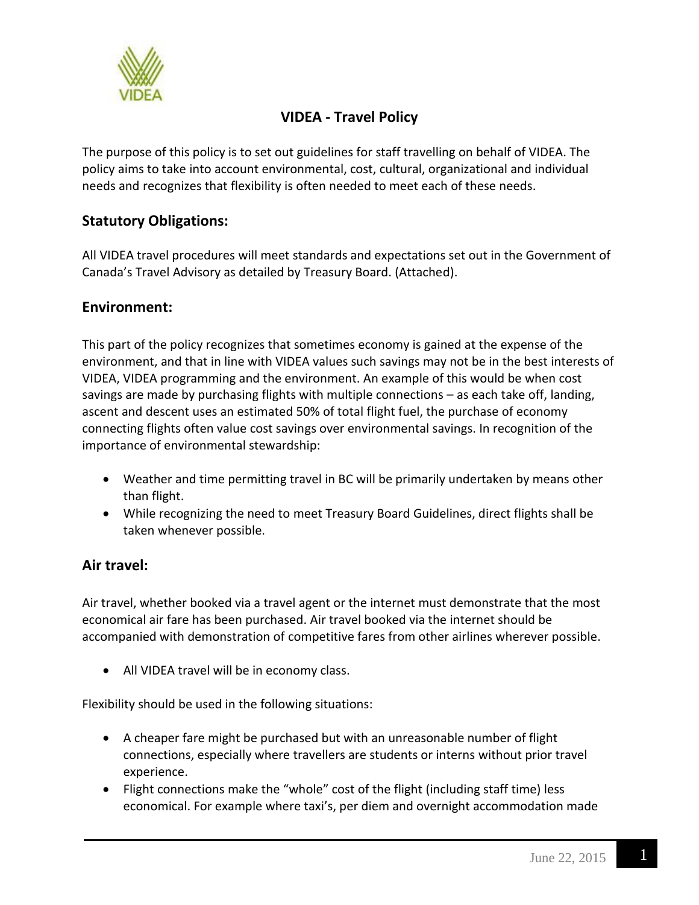

# **VIDEA - Travel Policy**

The purpose of this policy is to set out guidelines for staff travelling on behalf of VIDEA. The policy aims to take into account environmental, cost, cultural, organizational and individual needs and recognizes that flexibility is often needed to meet each of these needs.

# **Statutory Obligations:**

All VIDEA travel procedures will meet standards and expectations set out in the Government of Canada's Travel Advisory as detailed by Treasury Board. (Attached).

#### **Environment:**

This part of the policy recognizes that sometimes economy is gained at the expense of the environment, and that in line with VIDEA values such savings may not be in the best interests of VIDEA, VIDEA programming and the environment. An example of this would be when cost savings are made by purchasing flights with multiple connections – as each take off, landing, ascent and descent uses an estimated 50% of total flight fuel, the purchase of economy connecting flights often value cost savings over environmental savings. In recognition of the importance of environmental stewardship:

- Weather and time permitting travel in BC will be primarily undertaken by means other than flight.
- While recognizing the need to meet Treasury Board Guidelines, direct flights shall be taken whenever possible.

#### **Air travel:**

Air travel, whether booked via a travel agent or the internet must demonstrate that the most economical air fare has been purchased. Air travel booked via the internet should be accompanied with demonstration of competitive fares from other airlines wherever possible.

• All VIDEA travel will be in economy class.

Flexibility should be used in the following situations:

- A cheaper fare might be purchased but with an unreasonable number of flight connections, especially where travellers are students or interns without prior travel experience.
- Flight connections make the "whole" cost of the flight (including staff time) less economical. For example where taxi's, per diem and overnight accommodation made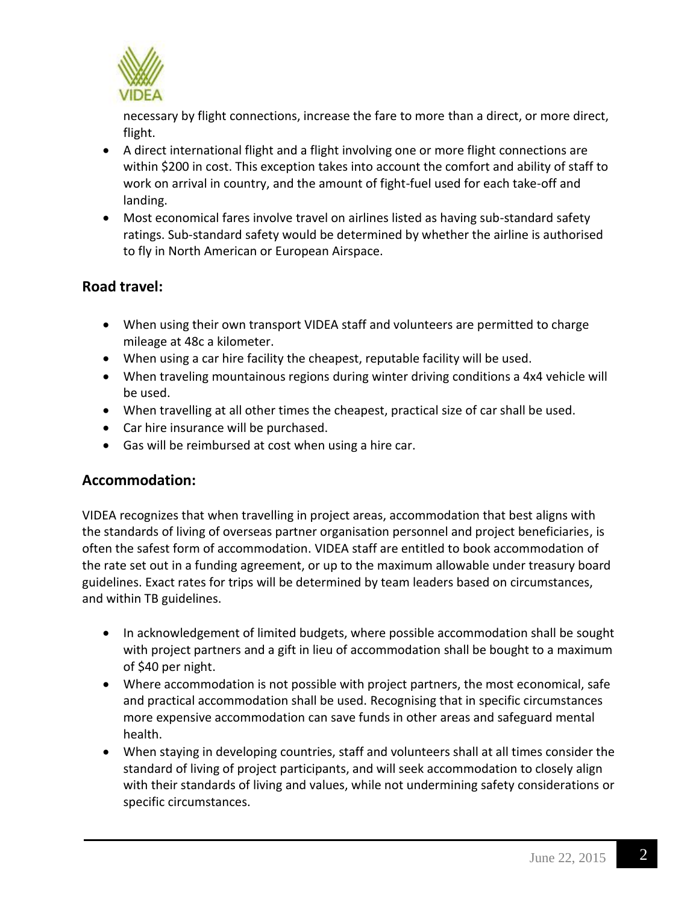

necessary by flight connections, increase the fare to more than a direct, or more direct, flight.

- A direct international flight and a flight involving one or more flight connections are within \$200 in cost. This exception takes into account the comfort and ability of staff to work on arrival in country, and the amount of fight-fuel used for each take-off and landing.
- Most economical fares involve travel on airlines listed as having sub-standard safety ratings. Sub-standard safety would be determined by whether the airline is authorised to fly in North American or European Airspace.

## **Road travel:**

- When using their own transport VIDEA staff and volunteers are permitted to charge mileage at 48c a kilometer.
- When using a car hire facility the cheapest, reputable facility will be used.
- When traveling mountainous regions during winter driving conditions a 4x4 vehicle will be used.
- When travelling at all other times the cheapest, practical size of car shall be used.
- Car hire insurance will be purchased.
- Gas will be reimbursed at cost when using a hire car.

#### **Accommodation:**

VIDEA recognizes that when travelling in project areas, accommodation that best aligns with the standards of living of overseas partner organisation personnel and project beneficiaries, is often the safest form of accommodation. VIDEA staff are entitled to book accommodation of the rate set out in a funding agreement, or up to the maximum allowable under treasury board guidelines. Exact rates for trips will be determined by team leaders based on circumstances, and within TB guidelines.

- In acknowledgement of limited budgets, where possible accommodation shall be sought with project partners and a gift in lieu of accommodation shall be bought to a maximum of \$40 per night.
- Where accommodation is not possible with project partners, the most economical, safe and practical accommodation shall be used. Recognising that in specific circumstances more expensive accommodation can save funds in other areas and safeguard mental health.
- When staying in developing countries, staff and volunteers shall at all times consider the standard of living of project participants, and will seek accommodation to closely align with their standards of living and values, while not undermining safety considerations or specific circumstances.